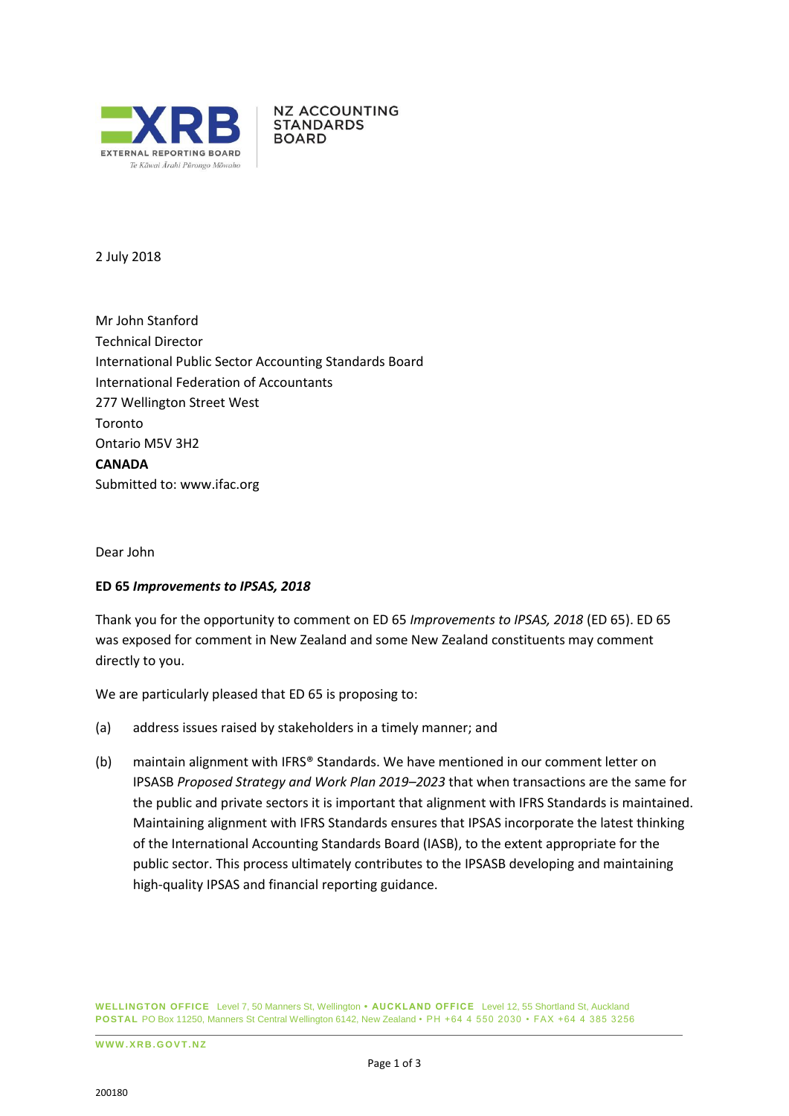

**NZ ACCOUNTING STANDARDS BOARD** 

2 July 2018

Mr John Stanford Technical Director International Public Sector Accounting Standards Board International Federation of Accountants 277 Wellington Street West Toronto Ontario M5V 3H2 **CANADA** Submitted to: [www.ifac.org](http://www.ifac.org/)

Dear John

## **ED 65** *Improvements to IPSAS, 2018*

Thank you for the opportunity to comment on ED 65 *Improvements to IPSAS, 2018* (ED 65). ED 65 was exposed for comment in New Zealand and some New Zealand constituents may comment directly to you.

We are particularly pleased that ED 65 is proposing to:

- (a) address issues raised by stakeholders in a timely manner; and
- (b) maintain alignment with IFRS® Standards. We have mentioned in our comment letter on IPSASB *Proposed Strategy and Work Plan 2019–2023* that when transactions are the same for the public and private sectors it is important that alignment with IFRS Standards is maintained. Maintaining alignment with IFRS Standards ensures that IPSAS incorporate the latest thinking of the International Accounting Standards Board (IASB), to the extent appropriate for the public sector. This process ultimately contributes to the IPSASB developing and maintaining high-quality IPSAS and financial reporting guidance.

**WELLINGTON OFFICE** Level 7, 50 Manners St, Wellington **• AUCKLAND OFFICE** Level 12, 55 Shortland St, Auckland **POSTAL** PO Box 11250, Manners St Central Wellington 6142, New Zealand • PH +64 4 550 2030 • FAX +64 4 385 3256

**W W W .X R B . G OV T .N Z**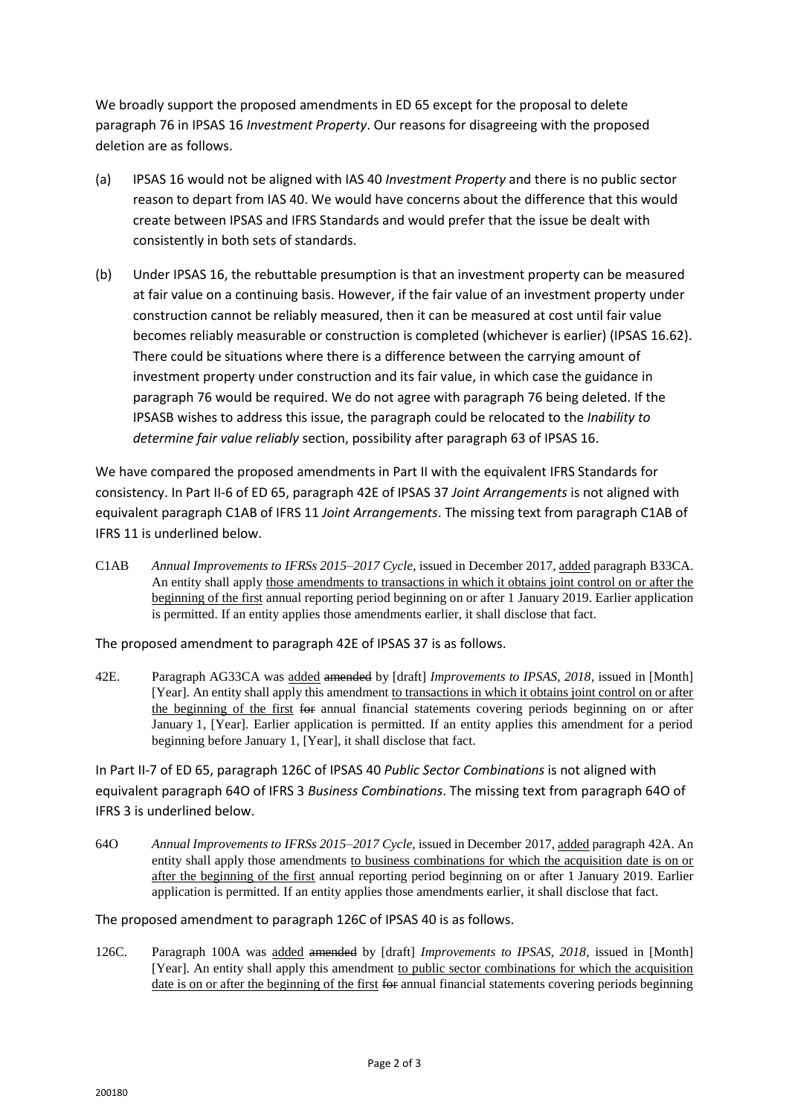We broadly support the proposed amendments in ED 65 except for the proposal to delete paragraph 76 in IPSAS 16 *Investment Property*. Our reasons for disagreeing with the proposed deletion are as follows.

- (a) IPSAS 16 would not be aligned with IAS 40 *Investment Property* and there is no public sector reason to depart from IAS 40. We would have concerns about the difference that this would create between IPSAS and IFRS Standards and would prefer that the issue be dealt with consistently in both sets of standards.
- (b) Under IPSAS 16, the rebuttable presumption is that an investment property can be measured at fair value on a continuing basis. However, if the fair value of an investment property under construction cannot be reliably measured, then it can be measured at cost until fair value becomes reliably measurable or construction is completed (whichever is earlier) (IPSAS 16.62). There could be situations where there is a difference between the carrying amount of investment property under construction and its fair value, in which case the guidance in paragraph 76 would be required. We do not agree with paragraph 76 being deleted. If the IPSASB wishes to address this issue, the paragraph could be relocated to the *Inability to determine fair value reliably* section, possibility after paragraph 63 of IPSAS 16.

We have compared the proposed amendments in Part II with the equivalent IFRS Standards for consistency. In Part II-6 of ED 65, paragraph 42E of IPSAS 37 *Joint Arrangements* is not aligned with equivalent paragraph C1AB of IFRS 11 *Joint Arrangements*. The missing text from paragraph C1AB of IFRS 11 is underlined below.

C1AB *Annual Improvements to IFRSs 2015–2017 Cycle*, issued in December 2017, added paragraph B33CA. An entity shall apply those amendments to transactions in which it obtains joint control on or after the beginning of the first annual reporting period beginning on or after 1 January 2019. Earlier application is permitted. If an entity applies those amendments earlier, it shall disclose that fact.

The proposed amendment to paragraph 42E of IPSAS 37 is as follows.

42E. Paragraph AG33CA was added amended by [draft] *Improvements to IPSAS, 2018*, issued in [Month] [Year]. An entity shall apply this amendment to transactions in which it obtains joint control on or after the beginning of the first for annual financial statements covering periods beginning on or after January 1, [Year]. Earlier application is permitted. If an entity applies this amendment for a period beginning before January 1, [Year], it shall disclose that fact.

In Part II-7 of ED 65, paragraph 126C of IPSAS 40 *Public Sector Combinations* is not aligned with equivalent paragraph 64O of IFRS 3 *Business Combinations*. The missing text from paragraph 64O of IFRS 3 is underlined below.

64O *Annual Improvements to IFRSs 2015–2017 Cycle*, issued in December 2017, added paragraph 42A. An entity shall apply those amendments to business combinations for which the acquisition date is on or after the beginning of the first annual reporting period beginning on or after 1 January 2019. Earlier application is permitted. If an entity applies those amendments earlier, it shall disclose that fact.

## The proposed amendment to paragraph 126C of IPSAS 40 is as follows.

126C. Paragraph 100A was added amended by [draft] *Improvements to IPSAS, 2018*, issued in [Month] [Year]. An entity shall apply this amendment to public sector combinations for which the acquisition date is on or after the beginning of the first for annual financial statements covering periods beginning